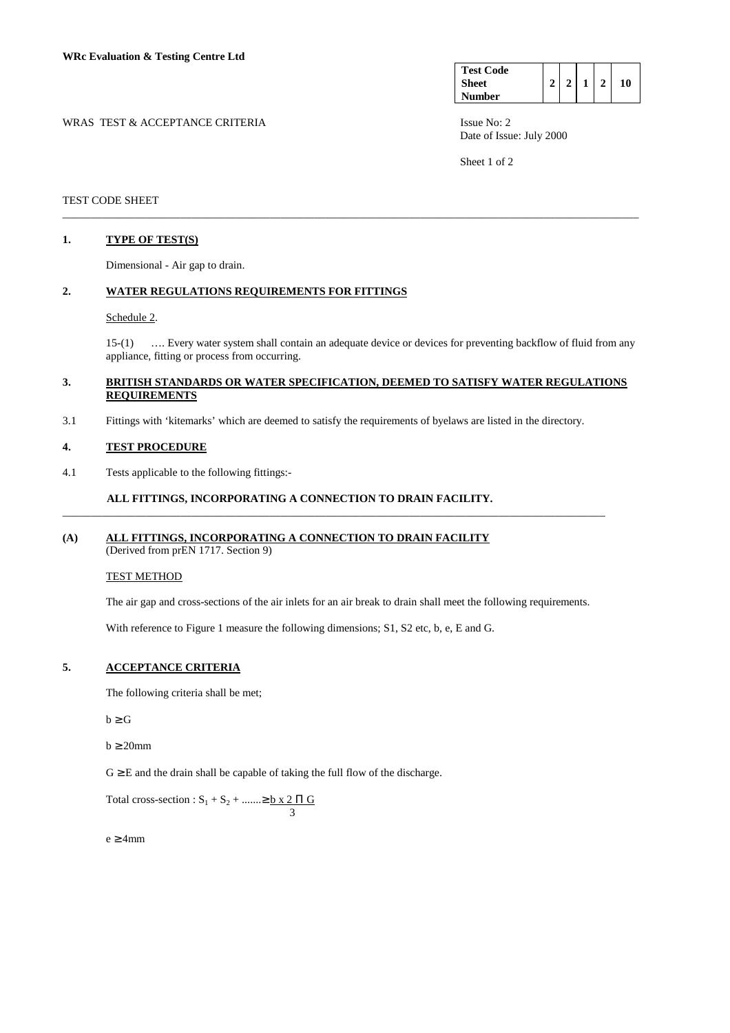WRAS TEST & ACCEPTANCE CRITERIA ISSUE No: 2

| <b>Test Code</b><br><b>Sheet</b><br>Number |  |  |  |  |  |
|--------------------------------------------|--|--|--|--|--|
|--------------------------------------------|--|--|--|--|--|

Date of Issue: July 2000

Sheet 1 of 2

## TEST CODE SHEET

## **1. TYPE OF TEST(S)**

Dimensional - Air gap to drain.

## **2. WATER REGULATIONS REQUIREMENTS FOR FITTINGS**

## Schedule 2.

 15-(1) …. Every water system shall contain an adequate device or devices for preventing backflow of fluid from any appliance, fitting or process from occurring.

## **3. BRITISH STANDARDS OR WATER SPECIFICATION, DEEMED TO SATISFY WATER REGULATIONS REQUIREMENTS**

\_\_\_\_\_\_\_\_\_\_\_\_\_\_\_\_\_\_\_\_\_\_\_\_\_\_\_\_\_\_\_\_\_\_\_\_\_\_\_\_\_\_\_\_\_\_\_\_\_\_\_\_\_\_\_\_\_\_\_\_\_\_\_\_\_\_\_\_\_\_\_\_\_\_\_\_\_\_\_\_\_\_\_\_\_\_\_\_\_\_\_\_\_\_\_\_\_\_\_\_\_\_\_

3.1 Fittings with 'kitemarks' which are deemed to satisfy the requirements of byelaws are listed in the directory.

#### **4. TEST PROCEDURE**

4.1 Tests applicable to the following fittings:-

#### **ALL FITTINGS, INCORPORATING A CONNECTION TO DRAIN FACILITY.**

# **(A) ALL FITTINGS, INCORPORATING A CONNECTION TO DRAIN FACILITY**

(Derived from prEN 1717. Section 9)

## TEST METHOD

The air gap and cross-sections of the air inlets for an air break to drain shall meet the following requirements.

\_\_\_\_\_\_\_\_\_\_\_\_\_\_\_\_\_\_\_\_\_\_\_\_\_\_\_\_\_\_\_\_\_\_\_\_\_\_\_\_\_\_\_\_\_\_\_\_\_\_\_\_\_\_\_\_\_\_\_\_\_\_\_\_\_\_\_\_\_\_\_\_\_\_\_\_\_\_\_\_\_\_\_\_\_\_\_\_\_\_\_\_\_\_\_\_\_

With reference to Figure 1 measure the following dimensions; S1, S2 etc, b, e, E and G.

# **5. ACCEPTANCE CRITERIA**

The following criteria shall be met;

 $b \ge G$ 

 $b \geq 20$ mm

 $G \geq E$  and the drain shall be capable of taking the full flow of the discharge.

Total cross-section :  $S_1 + S_2 + \dots \ge b \times 2 \Pi G$ 3

 $e \geq 4$ mm